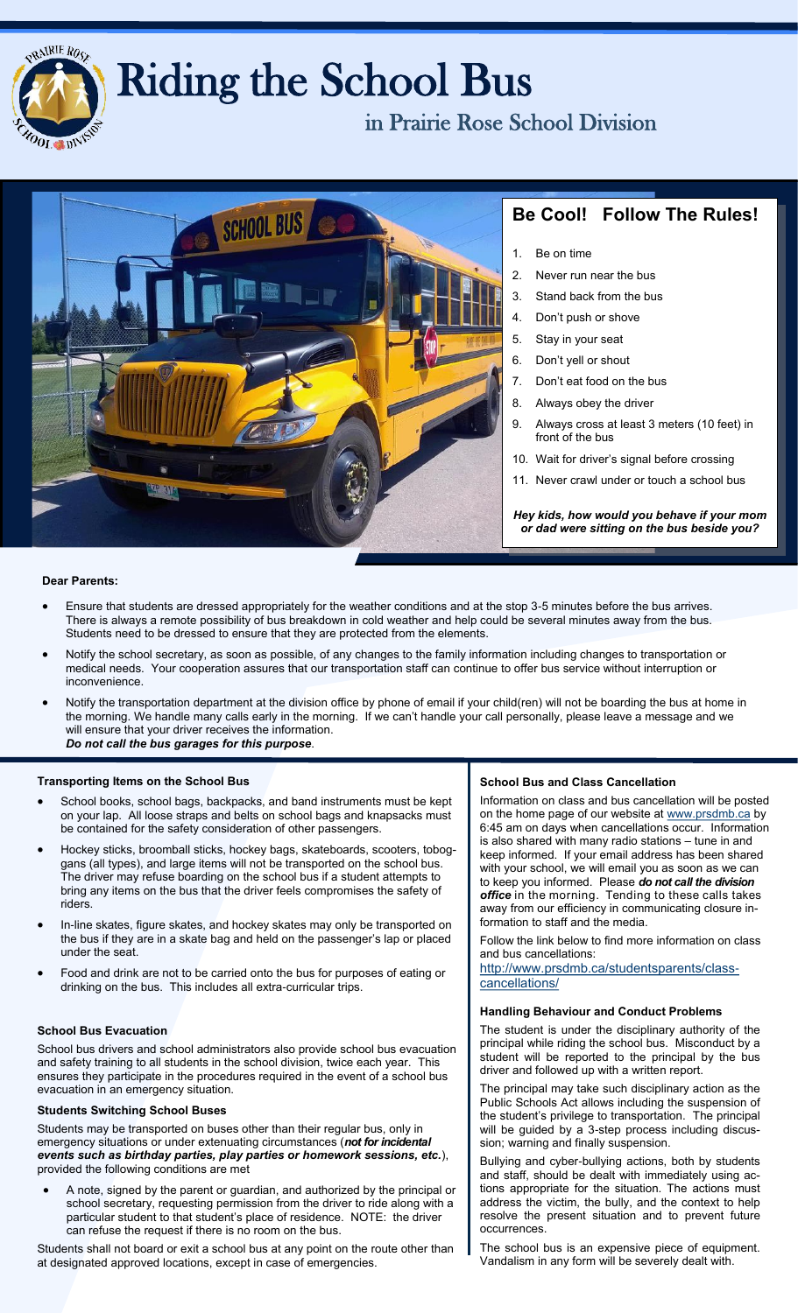

# Riding the School Bus

in Prairie Rose School Division



## **Be Cool! Follow The Rules!**

- 1. Be on time
- 2. Never run near the bus
- 3. Stand back from the bus
- 4. Don't push or shove
- 5. Stay in your seat
- 6. Don't yell or shout
- 7. Don't eat food on the bus
- 8. Always obey the driver
- 9. Always cross at least 3 meters (10 feet) in front of the bus
- 10. Wait for driver's signal before crossing
- 11. Never crawl under or touch a school bus

*Hey kids, how would you behave if your mom or dad were sitting on the bus beside you?*

#### **Dear Parents:**

- Ensure that students are dressed appropriately for the weather conditions and at the stop 3-5 minutes before the bus arrives. There is always a remote possibility of bus breakdown in cold weather and help could be several minutes away from the bus. Students need to be dressed to ensure that they are protected from the elements.
- Notify the school secretary, as soon as possible, of any changes to the family information including changes to transportation or medical needs. Your cooperation assures that our transportation staff can continue to offer bus service without interruption or inconvenience.
- Notify the transportation department at the division office by phone of email if your child(ren) will not be boarding the bus at home in the morning. We handle many calls early in the morning. If we can't handle your call personally, please leave a message and we will ensure that your driver receives the information. *Do not call the bus garages for this purpose*.

#### **Transporting Items on the School Bus**

- School books, school bags, backpacks, and band instruments must be kept on your lap. All loose straps and belts on school bags and knapsacks must be contained for the safety consideration of other passengers.
- Hockey sticks, broomball sticks, hockey bags, skateboards, scooters, toboggans (all types), and large items will not be transported on the school bus. The driver may refuse boarding on the school bus if a student attempts to bring any items on the bus that the driver feels compromises the safety of riders.
- In-line skates, figure skates, and hockey skates may only be transported on the bus if they are in a skate bag and held on the passenger's lap or placed under the seat.
- Food and drink are not to be carried onto the bus for purposes of eating or drinking on the bus. This includes all extra-curricular trips.

#### **School Bus Evacuation**

School bus drivers and school administrators also provide school bus evacuation and safety training to all students in the school division, twice each year. This ensures they participate in the procedures required in the event of a school bus evacuation in an emergency situation.

#### **Students Switching School Buses**

Students may be transported on buses other than their regular bus, only in emergency situations or under extenuating circumstances (*not for incidental events such as birthday parties, play parties or homework sessions, etc.*), provided the following conditions are met

 A note, signed by the parent or guardian, and authorized by the principal or school secretary, requesting permission from the driver to ride along with a particular student to that student's place of residence. NOTE: the driver can refuse the request if there is no room on the bus.

Students shall not board or exit a school bus at any point on the route other than at designated approved locations, except in case of emergencies.

#### **School Bus and Class Cancellation**

Information on class and bus cancellation will be posted on the home page of our website at [www.prsdmb.ca](http://www.prsdmb.ca) by 6:45 am on days when cancellations occur. Information is also shared with many radio stations – tune in and keep informed. If your email address has been shared with your school, we will email you as soon as we can to keep you informed. Please *do not call the division office* in the morning. Tending to these calls takes away from our efficiency in communicating closure information to staff and the media.

Follow the link below to find more information on class and bus cancellations:

http://www.prsdmb.ca/studentsparents/classcancellations/

#### **Handling Behaviour and Conduct Problems**

The student is under the disciplinary authority of the principal while riding the school bus. Misconduct by a student will be reported to the principal by the bus driver and followed up with a written report.

The principal may take such disciplinary action as the Public Schools Act allows including the suspension of the student's privilege to transportation. The principal will be guided by a 3-step process including discussion; warning and finally suspension.

Bullying and cyber-bullying actions, both by students and staff, should be dealt with immediately using actions appropriate for the situation. The actions must address the victim, the bully, and the context to help resolve the present situation and to prevent future occurrences.

The school bus is an expensive piece of equipment. Vandalism in any form will be severely dealt with.